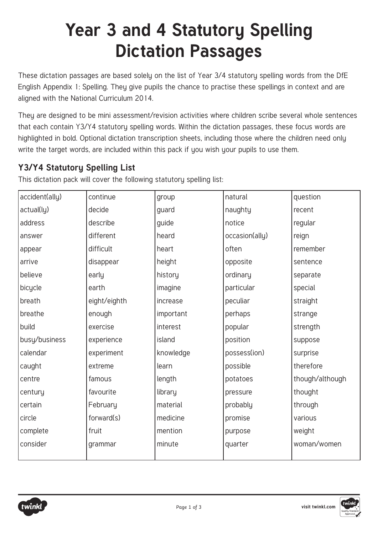# **Year 3 and 4 Statutory Spelling Dictation Passages**

These dictation passages are based solely on the list of Year 3/4 statutory spelling words from the DfE English Appendix 1: Spelling. They give pupils the chance to practise these spellings in context and are aligned with the National Curriculum 2014.

They are designed to be mini assessment/revision activities where children scribe several whole sentences that each contain Y3/Y4 statutory spelling words. Within the dictation passages, these focus words are highlighted in bold. Optional dictation transcription sheets, including those where the children need only write the target words, are included within this pack if you wish your pupils to use them.

# **Y3/Y4 Statutory Spelling List**

This dictation pack will cover the following statutory spelling list:

| accident(ally) | continue     | group     | natural        | question        |
|----------------|--------------|-----------|----------------|-----------------|
| actual(ly)     | decide       | guard     | naughty        | recent          |
| address        | describe     | guide     | notice         | regular         |
| answer         | different    | heard     | occasion(ally) | reign           |
| appear         | difficult    | heart     | often          | remember        |
| arrive         | disappear    | height    | opposite       | sentence        |
| believe        | early        | history   | ordinary       | separate        |
| bicycle        | earth        | imagine   | particular     | special         |
| breath         | eight/eighth | increase  | peculiar       | straight        |
| breathe        | enough       | important | perhaps        | strange         |
| build          | exercise     | interest  | popular        | strength        |
| busy/business  | experience   | island    | position       | suppose         |
| calendar       | experiment   | knowledge | possess(ion)   | surprise        |
| caught         | extreme      | learn     | possible       | therefore       |
| centre         | famous       | length    | potatoes       | though/although |
| century        | favourite    | library   | pressure       | thought         |
| certain        | February     | material  | probably       | through         |
| circle         | forward(s)   | medicine  | promise        | various         |
| complete       | fruit        | mention   | purpose        | weight          |
| consider       | grammar      | minute    | quarter        | woman/women     |



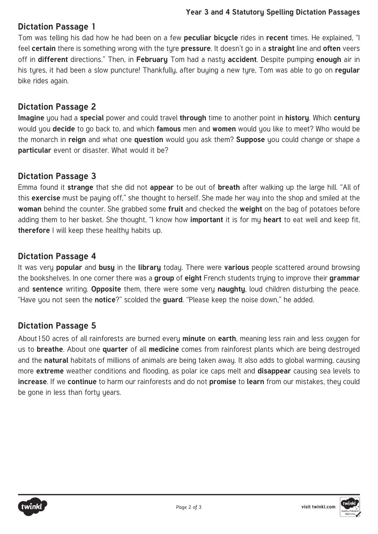#### **Dictation Passage 1**

Tom was telling his dad how he had been on a few **peculiar bicycle** rides in **recent** times. He explained, "I feel **certain** there is something wrong with the tyre **pressure**. It doesn't go in a **straight** line and **often** veers off in **different** directions." Then, in **February** Tom had a nasty **accident**. Despite pumping **enough** air in his tyres, it had been a slow puncture! Thankfully, after buying a new tyre, Tom was able to go on **regular**  bike rides again.

#### **Dictation Passage 2**

**Imagine** you had a **special** power and could travel **through** time to another point in **history**. Which **century**  would you **decide** to go back to, and which **famous** men and **women** would you like to meet? Who would be the monarch in **reign** and what one **question** would you ask them? **Suppose** you could change or shape a **particular** event or disaster. What would it be?

#### **Dictation Passage 3**

Emma found it **strange** that she did not **appear** to be out of **breath** after walking up the large hill. "All of this **exercise** must be paying off," she thought to herself. She made her way into the shop and smiled at the **woman** behind the counter. She grabbed some **fruit** and checked the **weight** on the bag of potatoes before adding them to her basket. She thought, "I know how **important** it is for my **heart** to eat well and keep fit, **therefore** I will keep these healthy habits up.

#### **Dictation Passage 4**

It was very **popular** and **busy** in the **library** today. There were **various** people scattered around browsing the bookshelves. In one corner there was a **group** of **eight** French students trying to improve their **grammar**  and **sentence** writing. **Opposite** them, there were some very **naughty**, loud children disturbing the peace. "Have you not seen the **notice**?" scolded the **guard**. "Please keep the noise down," he added.

### **Dictation Passage 5**

About150 acres of all rainforests are burned every **minute** on **earth**, meaning less rain and less oxygen for us to **breathe**. About one **quarter** of all **medicine** comes from rainforest plants which are being destroyed and the **natural** habitats of millions of animals are being taken away. It also adds to global warming, causing more **extreme** weather conditions and flooding, as polar ice caps melt and **disappear** causing sea levels to **increase**. If we **continue** to harm our rainforests and do not **promise** to **learn** from our mistakes, they could be gone in less than forty years.